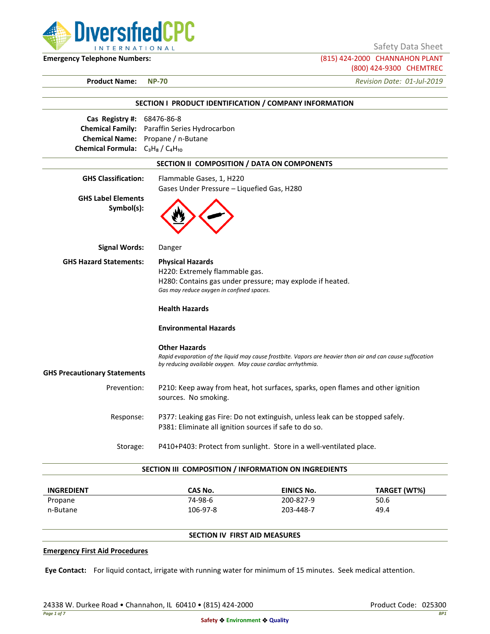

Safety Data Sheet

**Emergency Telephone Numbers:** (815) 424-2000 CHANNAHON PLANT (800) 424-9300 CHEMTREC

**Product Name: NP-70** *Revision Date: 01-Jul-2019*

| SECTION I PRODUCT IDENTIFICATION / COMPANY INFORMATION             |                                                                                                                                                                                                                              |  |  |  |
|--------------------------------------------------------------------|------------------------------------------------------------------------------------------------------------------------------------------------------------------------------------------------------------------------------|--|--|--|
| Cas Registry #: 68476-86-8<br>Chemical Formula: $C_3H_8/C_4H_{10}$ | Chemical Family: Paraffin Series Hydrocarbon<br>Chemical Name: Propane / n-Butane                                                                                                                                            |  |  |  |
| SECTION II COMPOSITION / DATA ON COMPONENTS                        |                                                                                                                                                                                                                              |  |  |  |
| <b>GHS Classification:</b>                                         | Flammable Gases, 1, H220                                                                                                                                                                                                     |  |  |  |
| <b>GHS Label Elements</b><br>Symbol(s):                            | Gases Under Pressure - Liquefied Gas, H280                                                                                                                                                                                   |  |  |  |
| <b>Signal Words:</b>                                               | Danger                                                                                                                                                                                                                       |  |  |  |
| <b>GHS Hazard Statements:</b>                                      | <b>Physical Hazards</b><br>H220: Extremely flammable gas.<br>H280: Contains gas under pressure; may explode if heated.<br>Gas may reduce oxygen in confined spaces.<br><b>Health Hazards</b><br><b>Environmental Hazards</b> |  |  |  |
| <b>GHS Precautionary Statements</b>                                | <b>Other Hazards</b><br>Rapid evaporation of the liquid may cause frostbite. Vapors are heavier than air and can cause suffocation<br>by reducing available oxygen. May cause cardiac arrhythmia.                            |  |  |  |
| Prevention:                                                        | P210: Keep away from heat, hot surfaces, sparks, open flames and other ignition<br>sources. No smoking.                                                                                                                      |  |  |  |
| Response:                                                          | P377: Leaking gas Fire: Do not extinguish, unless leak can be stopped safely.<br>P381: Eliminate all ignition sources if safe to do so.                                                                                      |  |  |  |
| Storage:                                                           | P410+P403: Protect from sunlight. Store in a well-ventilated place.                                                                                                                                                          |  |  |  |
|                                                                    | SECTION III COMPOSITION / INFORMATION ON INGREDIENTS                                                                                                                                                                         |  |  |  |

| <b>INGREDIENT</b> | CAS No.  | EINICS No. | TARGET (WT%) |
|-------------------|----------|------------|--------------|
| Propane           | 74-98-6  | 200-827-9  | 50.6         |
| n-Butane          | 106-97-8 | 203-448-7  | 49.4         |

# **SECTION IV FIRST AID MEASURES**

### **Emergency First Aid Procedures**

**Eye Contact:** For liquid contact, irrigate with running water for minimum of 15 minutes. Seek medical attention.

24338 W. Durkee Road • Channahon, IL 60410 • (815) 424-2000 Product Code: 025300 Product Code: 025300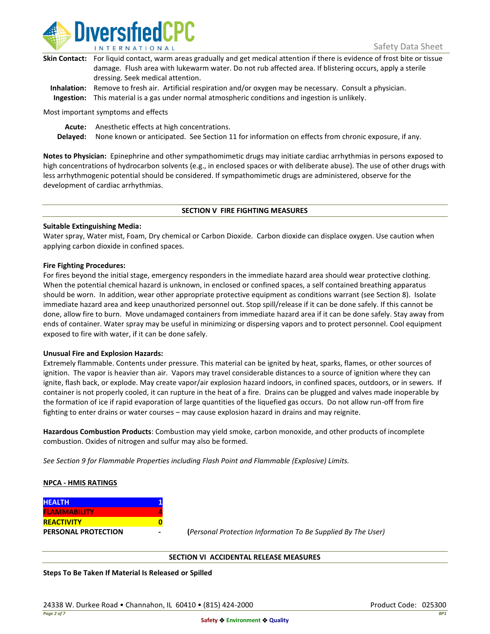

| Skin Contact: For liquid contact, warm areas gradually and get medical attention if there is evidence of frost bite or tissue |
|-------------------------------------------------------------------------------------------------------------------------------|
| damage. Flush area with lukewarm water. Do not rub affected area. If blistering occurs, apply a sterile                       |
| dressing. Seek medical attention.                                                                                             |
|                                                                                                                               |

**Inhalation:** Remove to fresh air. Artificial respiration and/or oxygen may be necessary. Consult a physician. **Ingestion:** This material is a gas under normal atmospheric conditions and ingestion is unlikely.

Most important symptoms and effects

**Acute:** Anesthetic effects at high concentrations.

**Delayed:** None known or anticipated. See Section 11 for information on effects from chronic exposure, if any.

**Notes to Physician:** Epinephrine and other sympathomimetic drugs may initiate cardiac arrhythmias in persons exposed to high concentrations of hydrocarbon solvents (e.g., in enclosed spaces or with deliberate abuse). The use of other drugs with less arrhythmogenic potential should be considered. If sympathomimetic drugs are administered, observe for the development of cardiac arrhythmias.

#### **SECTION V FIRE FIGHTING MEASURES**

### **Suitable Extinguishing Media:**

Water spray, Water mist, Foam, Dry chemical or Carbon Dioxide. Carbon dioxide can displace oxygen. Use caution when applying carbon dioxide in confined spaces.

#### **Fire Fighting Procedures:**

For fires beyond the initial stage, emergency responders in the immediate hazard area should wear protective clothing. When the potential chemical hazard is unknown, in enclosed or confined spaces, a self contained breathing apparatus should be worn. In addition, wear other appropriate protective equipment as conditions warrant (see Section 8). Isolate immediate hazard area and keep unauthorized personnel out. Stop spill/release if it can be done safely. If this cannot be done, allow fire to burn. Move undamaged containers from immediate hazard area if it can be done safely. Stay away from ends of container. Water spray may be useful in minimizing or dispersing vapors and to protect personnel. Cool equipment exposed to fire with water, if it can be done safely.

### **Unusual Fire and Explosion Hazards:**

Extremely flammable. Contents under pressure. This material can be ignited by heat, sparks, flames, or other sources of ignition. The vapor is heavier than air. Vapors may travel considerable distances to a source of ignition where they can ignite, flash back, or explode. May create vapor/air explosion hazard indoors, in confined spaces, outdoors, or in sewers. If container is not properly cooled, it can rupture in the heat of a fire. Drains can be plugged and valves made inoperable by the formation of ice if rapid evaporation of large quantities of the liquefied gas occurs. Do not allow run-off from fire fighting to enter drains or water courses – may cause explosion hazard in drains and may reignite.

**Hazardous Combustion Products**: Combustion may yield smoke, carbon monoxide, and other products of incomplete combustion. Oxides of nitrogen and sulfur may also be formed.

*See Section 9 for Flammable Properties including Flash Point and Flammable (Explosive) Limits.*

### **NPCA - HMIS RATINGS**

| <b>HEALTH</b>              |  |
|----------------------------|--|
| <b>FLAMMABILITY</b>        |  |
| <b>REACTIVITY</b>          |  |
| <b>PERSONAL PROTECTION</b> |  |

**PERSONAL PROTECTION - (***Personal Protection Information To Be Supplied By The User)*

### **SECTION VI ACCIDENTAL RELEASE MEASURES**

**Steps To Be Taken If Material Is Released or Spilled**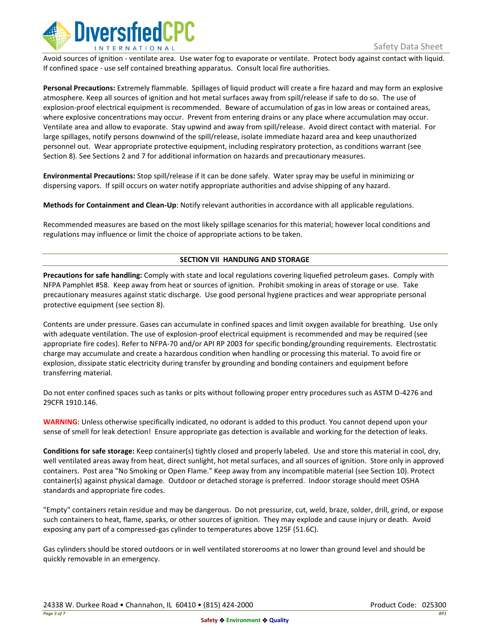

Avoid sources of ignition - ventilate area. Use water fog to evaporate or ventilate. Protect body against contact with liquid. If confined space - use self contained breathing apparatus. Consult local fire authorities.

**Personal Precautions:** Extremely flammable. Spillages of liquid product will create a fire hazard and may form an explosive atmosphere. Keep all sources of ignition and hot metal surfaces away from spill/release if safe to do so. The use of explosion-proof electrical equipment is recommended. Beware of accumulation of gas in low areas or contained areas, where explosive concentrations may occur. Prevent from entering drains or any place where accumulation may occur. Ventilate area and allow to evaporate. Stay upwind and away from spill/release. Avoid direct contact with material. For large spillages, notify persons downwind of the spill/release, isolate immediate hazard area and keep unauthorized personnel out. Wear appropriate protective equipment, including respiratory protection, as conditions warrant (see Section 8). See Sections 2 and 7 for additional information on hazards and precautionary measures.

**Environmental Precautions:** Stop spill/release if it can be done safely. Water spray may be useful in minimizing or dispersing vapors. If spill occurs on water notify appropriate authorities and advise shipping of any hazard.

**Methods for Containment and Clean-Up**: Notify relevant authorities in accordance with all applicable regulations.

Recommended measures are based on the most likely spillage scenarios for this material; however local conditions and regulations may influence or limit the choice of appropriate actions to be taken.

# **SECTION VII HANDLING AND STORAGE**

**Precautions for safe handling:** Comply with state and local regulations covering liquefied petroleum gases. Comply with NFPA Pamphlet #58. Keep away from heat or sources of ignition. Prohibit smoking in areas of storage or use. Take precautionary measures against static discharge. Use good personal hygiene practices and wear appropriate personal protective equipment (see section 8).

Contents are under pressure. Gases can accumulate in confined spaces and limit oxygen available for breathing. Use only with adequate ventilation. The use of explosion-proof electrical equipment is recommended and may be required (see appropriate fire codes). Refer to NFPA-70 and/or API RP 2003 for specific bonding/grounding requirements. Electrostatic charge may accumulate and create a hazardous condition when handling or processing this material. To avoid fire or explosion, dissipate static electricity during transfer by grounding and bonding containers and equipment before transferring material.

Do not enter confined spaces such as tanks or pits without following proper entry procedures such as ASTM D-4276 and 29CFR 1910.146.

**WARNING**: Unless otherwise specifically indicated, no odorant is added to this product. You cannot depend upon your sense of smell for leak detection! Ensure appropriate gas detection is available and working for the detection of leaks.

**Conditions for safe storage:** Keep container(s) tightly closed and properly labeled. Use and store this material in cool, dry, well ventilated areas away from heat, direct sunlight, hot metal surfaces, and all sources of ignition. Store only in approved containers. Post area "No Smoking or Open Flame." Keep away from any incompatible material (see Section 10). Protect container(s) against physical damage. Outdoor or detached storage is preferred. Indoor storage should meet OSHA standards and appropriate fire codes.

"Empty" containers retain residue and may be dangerous. Do not pressurize, cut, weld, braze, solder, drill, grind, or expose such containers to heat, flame, sparks, or other sources of ignition. They may explode and cause injury or death. Avoid exposing any part of a compressed-gas cylinder to temperatures above 125F (51.6C).

Gas cylinders should be stored outdoors or in well ventilated storerooms at no lower than ground level and should be quickly removable in an emergency.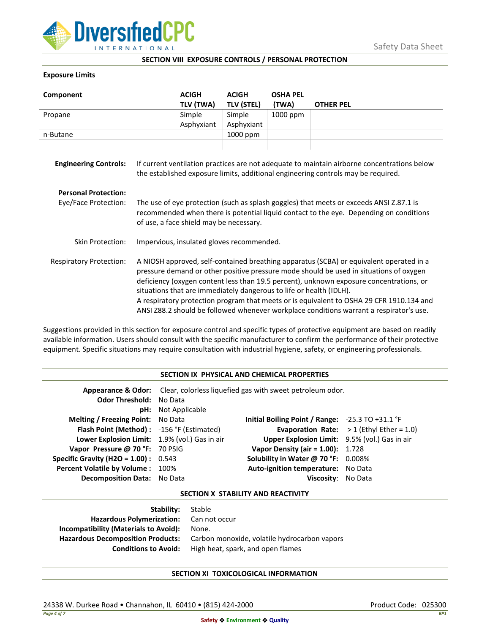

## **SECTION VIII EXPOSURE CONTROLS / PERSONAL PROTECTION**

## **Exposure Limits**

| Component                                           |                                                                                                                                                                                                                                                                                                                                                                                                                                                                                                                                            | <b>ACIGH</b><br>TLV (TWA) | <b>ACIGH</b><br><b>TLV (STEL)</b> | <b>OSHA PEL</b><br>(TWA) | <b>OTHER PEL</b> |
|-----------------------------------------------------|--------------------------------------------------------------------------------------------------------------------------------------------------------------------------------------------------------------------------------------------------------------------------------------------------------------------------------------------------------------------------------------------------------------------------------------------------------------------------------------------------------------------------------------------|---------------------------|-----------------------------------|--------------------------|------------------|
| Propane                                             |                                                                                                                                                                                                                                                                                                                                                                                                                                                                                                                                            | Simple                    | Simple                            | 1000 ppm                 |                  |
|                                                     |                                                                                                                                                                                                                                                                                                                                                                                                                                                                                                                                            | Asphyxiant                | Asphyxiant                        |                          |                  |
| n-Butane                                            |                                                                                                                                                                                                                                                                                                                                                                                                                                                                                                                                            |                           | 1000 ppm                          |                          |                  |
| <b>Engineering Controls:</b>                        | If current ventilation practices are not adequate to maintain airborne concentrations below<br>the established exposure limits, additional engineering controls may be required.                                                                                                                                                                                                                                                                                                                                                           |                           |                                   |                          |                  |
| <b>Personal Protection:</b><br>Eye/Face Protection: | The use of eye protection (such as splash goggles) that meets or exceeds ANSI Z.87.1 is<br>recommended when there is potential liquid contact to the eye. Depending on conditions<br>of use, a face shield may be necessary.                                                                                                                                                                                                                                                                                                               |                           |                                   |                          |                  |
| Skin Protection:                                    | Impervious, insulated gloves recommended.                                                                                                                                                                                                                                                                                                                                                                                                                                                                                                  |                           |                                   |                          |                  |
| <b>Respiratory Protection:</b>                      | A NIOSH approved, self-contained breathing apparatus (SCBA) or equivalent operated in a<br>pressure demand or other positive pressure mode should be used in situations of oxygen<br>deficiency (oxygen content less than 19.5 percent), unknown exposure concentrations, or<br>situations that are immediately dangerous to life or health (IDLH).<br>A respiratory protection program that meets or is equivalent to OSHA 29 CFR 1910.134 and<br>ANSI Z88.2 should be followed whenever workplace conditions warrant a respirator's use. |                           |                                   |                          |                  |

Suggestions provided in this section for exposure control and specific types of protective equipment are based on readily available information. Users should consult with the specific manufacturer to confirm the performance of their protective equipment. Specific situations may require consultation with industrial hygiene, safety, or engineering professionals.

## **SECTION IX PHYSICAL AND CHEMICAL PROPERTIES**

| <b>Odor Threshold: No Data</b>                | <b>pH:</b> Not Applicable | <b>Appearance &amp; Odor:</b> Clear, colorless liquefied gas with sweet petroleum odor. |                                                   |
|-----------------------------------------------|---------------------------|-----------------------------------------------------------------------------------------|---------------------------------------------------|
| <b>Melting / Freezing Point:</b> No Data      |                           | Initial Boiling Point / Range: $-25.3$ TO $+31.1$ °F                                    |                                                   |
| Flash Point (Method): -156 °F (Estimated)     |                           |                                                                                         | <b>Evaporation Rate:</b> $>1$ (Ethyl Ether = 1.0) |
| Lower Explosion Limit: 1.9% (vol.) Gas in air |                           | Upper Explosion Limit: 9.5% (vol.) Gas in air                                           |                                                   |
| Vapor Pressure @ 70 °F: 70 PSIG               |                           | <b>Vapor Density (air = 1.00):</b> 1.728                                                |                                                   |
| <b>Specific Gravity (H2O = 1.00):</b> $0.543$ |                           | Solubility in Water @ 70 °F: 0.008%                                                     |                                                   |
| Percent Volatile by Volume: 100%              |                           | Auto-ignition temperature: No Data                                                      |                                                   |
| <b>Decomposition Data:</b> No Data            |                           | Viscosity: No Data                                                                      |                                                   |

### **SECTION X STABILITY AND REACTIVITY**

| <b>Stability:</b> Stable                     |
|----------------------------------------------|
| Hazardous Polymerization: Can not occur      |
| None.                                        |
| Carbon monoxide, volatile hydrocarbon vapors |
| High heat, spark, and open flames            |
|                                              |

# **SECTION XI TOXICOLOGICAL INFORMATION**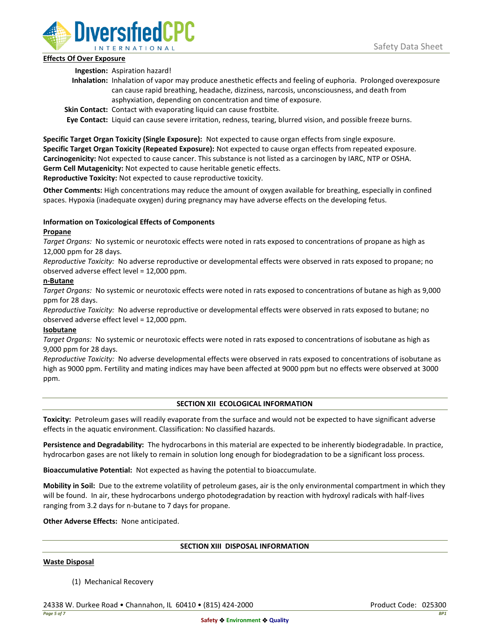

# **Effects Of Over Exposure**

**Ingestion:** Aspiration hazard!

- **Inhalation:** Inhalation of vapor may produce anesthetic effects and feeling of euphoria. Prolonged overexposure can cause rapid breathing, headache, dizziness, narcosis, unconsciousness, and death from asphyxiation, depending on concentration and time of exposure.
- **Skin Contact:** Contact with evaporating liquid can cause frostbite.

**Eye Contact:** Liquid can cause severe irritation, redness, tearing, blurred vision, and possible freeze burns.

**Specific Target Organ Toxicity (Single Exposure):** Not expected to cause organ effects from single exposure. **Specific Target Organ Toxicity (Repeated Exposure):** Not expected to cause organ effects from repeated exposure. **Carcinogenicity:** Not expected to cause cancer. This substance is not listed as a carcinogen by IARC, NTP or OSHA. **Germ Cell Mutagenicity:** Not expected to cause heritable genetic effects.

**Reproductive Toxicity:** Not expected to cause reproductive toxicity.

**Other Comments:** High concentrations may reduce the amount of oxygen available for breathing, especially in confined spaces. Hypoxia (inadequate oxygen) during pregnancy may have adverse effects on the developing fetus.

# **Information on Toxicological Effects of Components**

# **Propane**

*Target Organs:* No systemic or neurotoxic effects were noted in rats exposed to concentrations of propane as high as 12,000 ppm for 28 days.

*Reproductive Toxicity:* No adverse reproductive or developmental effects were observed in rats exposed to propane; no observed adverse effect level = 12,000 ppm.

# **n-Butane**

*Target Organs:* No systemic or neurotoxic effects were noted in rats exposed to concentrations of butane as high as 9,000 ppm for 28 days.

*Reproductive Toxicity:* No adverse reproductive or developmental effects were observed in rats exposed to butane; no observed adverse effect level = 12,000 ppm.

# **Isobutane**

*Target Organs:* No systemic or neurotoxic effects were noted in rats exposed to concentrations of isobutane as high as 9,000 ppm for 28 days.

*Reproductive Toxicity:* No adverse developmental effects were observed in rats exposed to concentrations of isobutane as high as 9000 ppm. Fertility and mating indices may have been affected at 9000 ppm but no effects were observed at 3000 ppm.

# **SECTION XII ECOLOGICAL INFORMATION**

**Toxicity:** Petroleum gases will readily evaporate from the surface and would not be expected to have significant adverse effects in the aquatic environment. Classification: No classified hazards.

**Persistence and Degradability:** The hydrocarbons in this material are expected to be inherently biodegradable. In practice, hydrocarbon gases are not likely to remain in solution long enough for biodegradation to be a significant loss process.

**Bioaccumulative Potential:** Not expected as having the potential to bioaccumulate.

**Mobility in Soil:** Due to the extreme volatility of petroleum gases, air is the only environmental compartment in which they will be found. In air, these hydrocarbons undergo photodegradation by reaction with hydroxyl radicals with half-lives ranging from 3.2 days for n-butane to 7 days for propane.

**Other Adverse Effects:** None anticipated.

### **SECTION XIII DISPOSAL INFORMATION**

### **Waste Disposal**

(1) Mechanical Recovery

24338 W. Durkee Road • Channahon, IL 60410 • (815) 424-2000 Product Code: 025300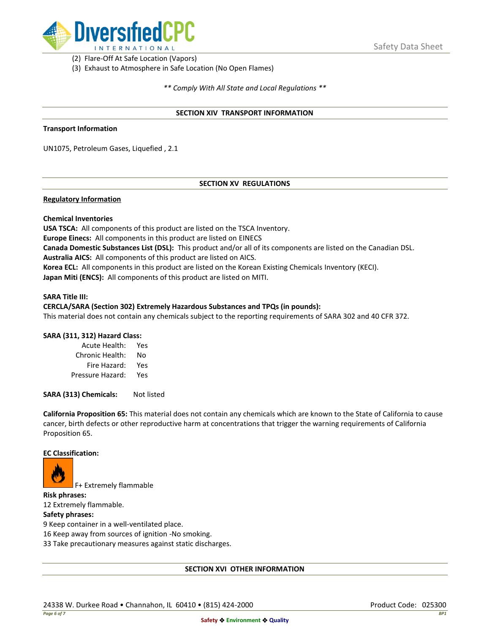

(2) Flare-Off At Safe Location (Vapors)

(3) Exhaust to Atmosphere in Safe Location (No Open Flames)

*\*\* Comply With All State and Local Regulations \*\**

### **SECTION XIV TRANSPORT INFORMATION**

### **Transport Information**

UN1075, Petroleum Gases, Liquefied , 2.1

# **SECTION XV REGULATIONS**

## **Regulatory Information**

### **Chemical Inventories**

**USA TSCA:** All components of this product are listed on the TSCA Inventory. **Europe Einecs:** All components in this product are listed on EINECS **Canada Domestic Substances List (DSL):** This product and/or all of its components are listed on the Canadian DSL. **Australia AICS:** All components of this product are listed on AICS. **Korea ECL:** All components in this product are listed on the Korean Existing Chemicals Inventory (KECI). **Japan Miti (ENCS):** All components of this product are listed on MITI.

#### **SARA Title III:**

### **CERCLA/SARA (Section 302) Extremely Hazardous Substances and TPQs (in pounds):**

This material does not contain any chemicals subject to the reporting requirements of SARA 302 and 40 CFR 372.

### **SARA (311, 312) Hazard Class:**

| Acute Health:    | Yes |
|------------------|-----|
| Chronic Health:  | No  |
| Fire Hazard:     | Yes |
| Pressure Hazard: | Yes |

**SARA (313) Chemicals:** Not listed

**California Proposition 65:** This material does not contain any chemicals which are known to the State of California to cause cancer, birth defects or other reproductive harm at concentrations that trigger the warning requirements of California Proposition 65.

### **EC Classification:**



F+ Extremely flammable

**Risk phrases:** 12 Extremely flammable.

## **Safety phrases:**

9 Keep container in a well-ventilated place.

16 Keep away from sources of ignition -No smoking.

33 Take precautionary measures against static discharges.

### **SECTION XVI OTHER INFORMATION**